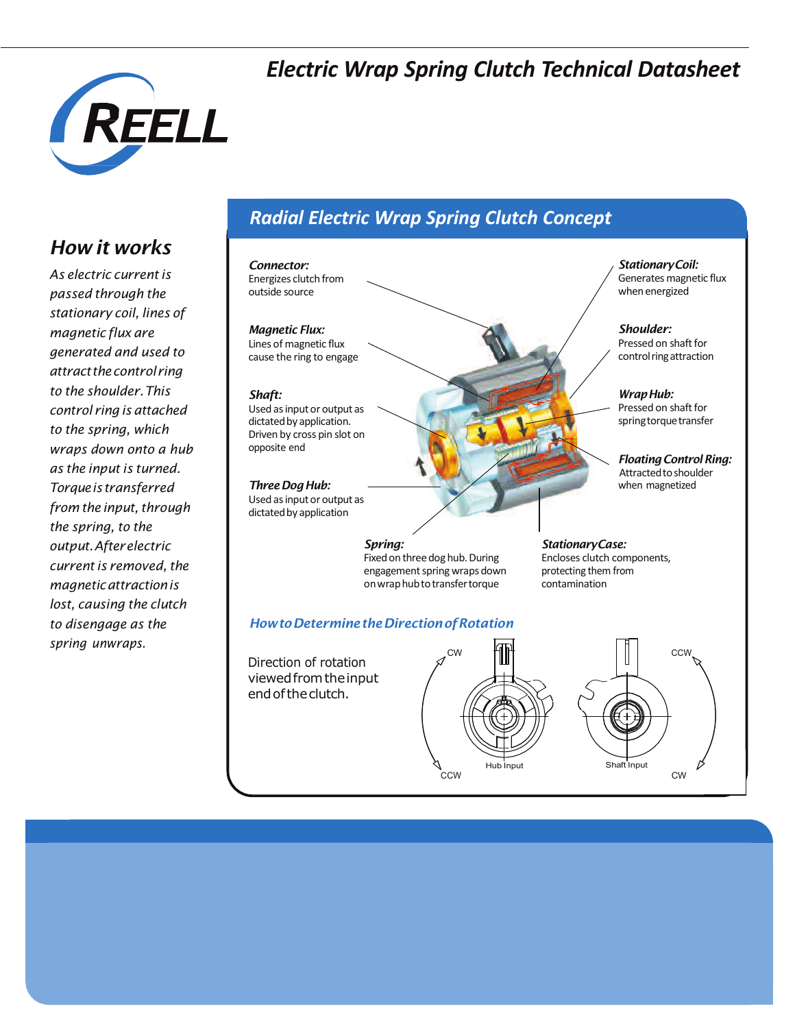### *Electric Wrap Spring Clutch Technical Datasheet*



### *How it works*

*As electric currentis passed through the stationary coil, lines of magnetic flux are generated and used to attractthecontrolring to the shoulder.This control ring is attached to the spring, which wraps down onto a hub as the input is turned. Torqueistransferred from the input*, *through the spring, to the output.Afterelectric currentis removed,the magneticattractionis lost, causing the clutch to disengage as the spring unwraps.*

### *Radial Electric Wrap Spring Clutch Concept*

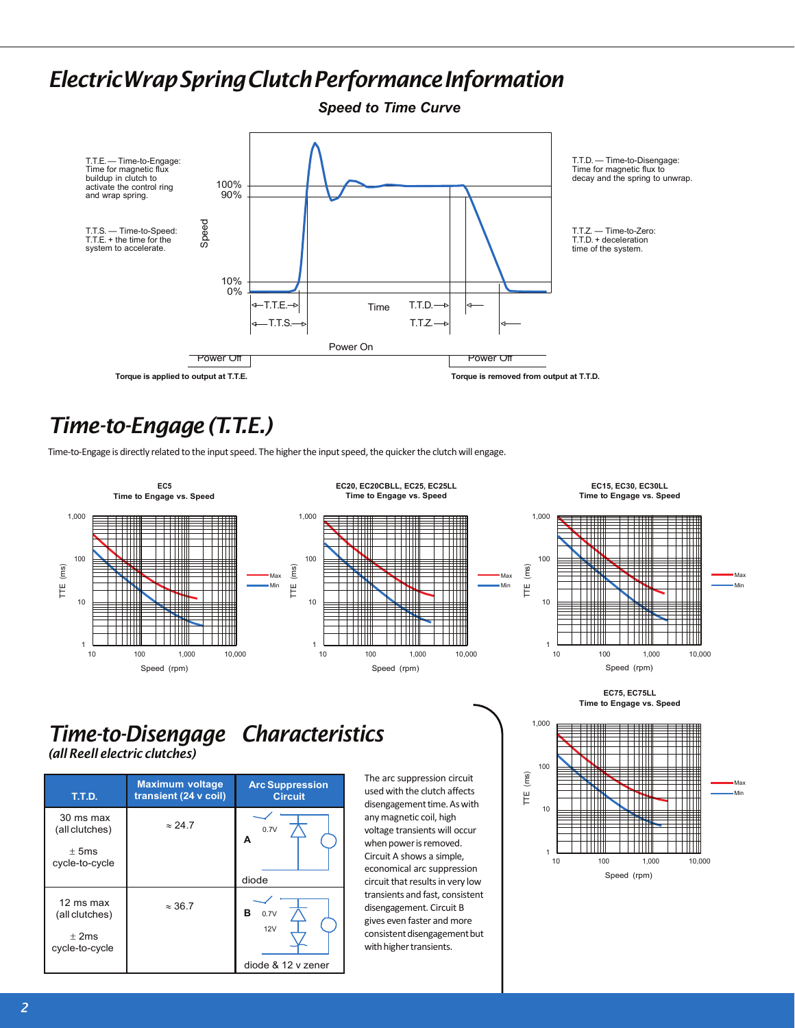### *ElectricWrapSpringClutchPerformanceInformation*



# *Time-to-Engage(T.T.E.)*

Time-to-Engage is directly related to the input speed. The higher the input speed, the quicker the clutch will engage.



# $\blacksquare$ Max Min 10 100 1,000 10,000

**EC75, EC75LL Time to Engage vs. Speed**



### *Time-to-Disengage Characteristics (all Reell electric clutches)*

| T.T.D.                      | <b>Maximum voltage</b><br>transient (24 v coil) | <b>Arc Suppression</b><br><b>Circuit</b> |  |
|-----------------------------|-------------------------------------------------|------------------------------------------|--|
| 30 ms max<br>(all clutches) | $\approx$ 24.7                                  | 0.7V<br>А                                |  |
| $+5ms$<br>cycle-to-cycle    |                                                 |                                          |  |
|                             |                                                 | diode                                    |  |
| 12 ms max<br>(all clutches) | $\approx$ 36.7                                  | в<br>0.7V                                |  |
| $+2ms$<br>cycle-to-cycle    |                                                 | 12V                                      |  |
|                             |                                                 | diode & 12 y zener                       |  |

The arc suppression circuit used with the clutch affects disengagement time. As with anymagnetic coil, high voltage transients will occur when power is removed. Circuit A shows a simple, economical arc suppression circuit that results in very low transients and fast, consistent disengagement. Circuit B gives even faster and more consistent disengagement but with higher transients.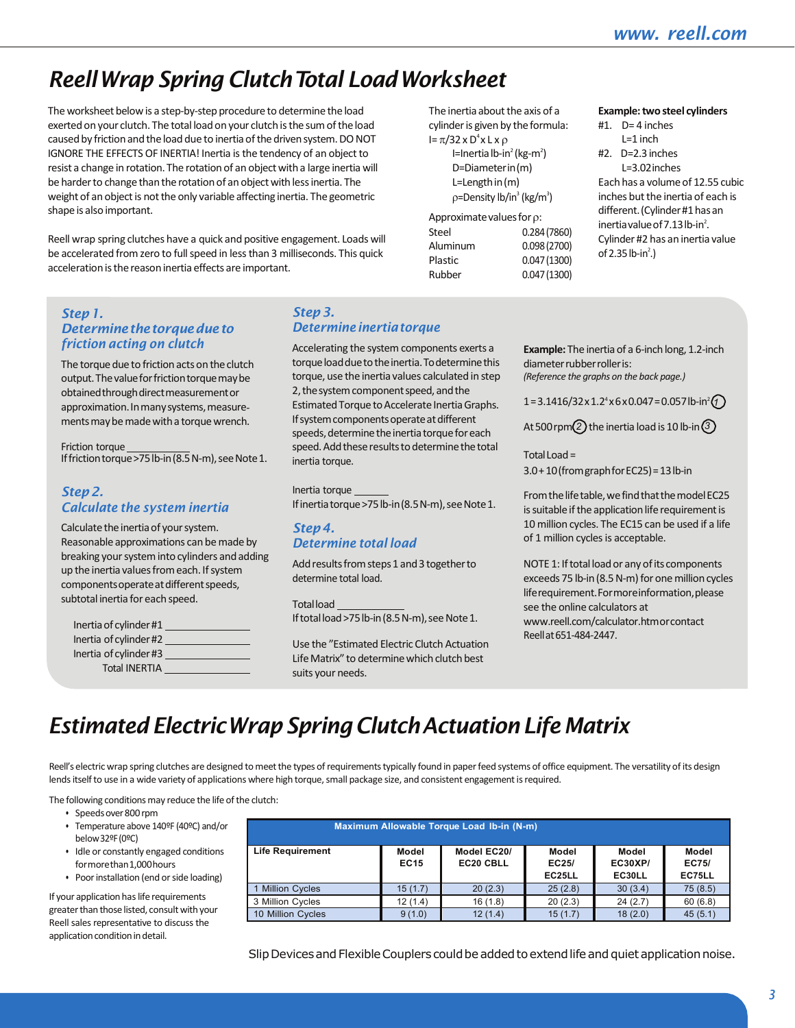**Example:** two steel cylinders

#1. D= 4 inches  $l = 1$  inch #2. D=2.3 inches L=3.02inches Each has a volume of 12.55 cubic inches but the inertia of each is different.(Cylinder#1hasan inertia value of 7.13 lb-in $^2$ . Cylinder #2 has an inertia value

# *ReellWrap Spring ClutchTotal LoadWorksheet*

The worksheet below is a step-by-step procedure to determine the load exerted on your clutch. The total load on your clutch is the sum of the load caused by friction and the load due to inertia of the driven system. DO NOT IGNORE THE EFFECTS OF INERTIA! Inertia isthe tendency of an object to resist a change in rotation. The rotation of an object with a large inertia will be harder to change than the rotation of an object with less inertia. The weight of an object is not the only variable affecting inertia. The geometric shape is also important.

Reell wrap spring clutches have a quick and positive engagement. Loads will be accelerated from zero to full speed in less than 3 milliseconds. This quick acceleration is the reason inertia effects are important.

#### *Step1. Determinethetorquedueto friction acting on clutch*

The torque due to friction acts on the clutch output. The value for friction torque may be obtainedthroughdirectmeasurementor approximation. In many systems, measurements may be made with a torque wrench.

Friction torque If friction torque > 75 lb-in (8.5 N-m), see Note 1.

#### *Step2. Calculate the system inertia*

Calculate the inertia of your system. Reasonable approximations can be made by breaking your system into cylinders and adding up the inertia values from each. If system components operate at different speeds, subtotal inertia for each speed.

| Inertia of cylinder #1 |  |
|------------------------|--|
| Inertia of cylinder #2 |  |
| Inertia of cylinder #3 |  |
| <b>Total INERTIA</b>   |  |

#### *Step3. Determineinertiatorque*

Accelerating the system components exerts a torque load due to the inertia. To determine this torque, use the inertia values calculated in step 2, the system component speed, and the Estimated Torque to Accelerate Inertia Graphs. If system components operate at different speeds, determine the inertia torque for each speed. Add these results to determine the total inertia torque.

Inertia torque Ifinertiatorque >75 lb-in (8.5 N-m), see Note 1.

#### *Step4. Determine total load*

Add results from steps 1 and 3 together to determine total load.

Totalload

If total load >75 lb-in (8.5 N-m), see Note 1.

Use the "Estimated Electric Clutch Actuation Life Matrix" to determine which clutch best suits your needs.

**Example:** The inertia of a 6-inch long, 1.2-inch diameterrubberrolleris:

of 2.35 lb-in<sup>2</sup>.)

*(Reference the graphs on the back page.)*

 $1=3.1416/32 \times 1.24 \times 6 \times 0.047 = 0.057$ lb-in<sup>2</sup> $\textcircled{1}$ 

At500rpm *2* the inertia loadis 10 lb-in *3*

Total Load = 3.0+10(fromgraphforEC25)=13lb-in

From the life table, we find that the model EC25 is suitable if the application life requirement is 10 million cycles. The EC15 can be used if a life of 1 million cycles is acceptable.

NOTE 1: If total load or any of its components exceeds 75 lb-in (8.5 N-m) for one million cycles liferequirement.Formoreinformation,please see the online calculators at [www.reell.com/calculator.htmo](http://www.reell.com/calculator.htm)rcontact Reellat651-484-2447.

# *EstimatedElectricWrapSpring ClutchActuationLife Matrix*

Reell's electric wrap spring clutches are designed to meet the types of requirements typically found in paper feed systems of office equipment. The versatility of its design lends itself to use in a wide variety of applications where high torque, small package size, and consistent engagement is required.

The following conditions may reduce the life of the clutch:

- Speedsover800rpm
- Temperature above 140ºF (40ºC) and/or below32ºF(0ºC)
- Idle or constantly engaged conditions formorethan1,000hours
- Poor installation (end or side loading)

If your application has life requirements greater than those listed, consult with your Reell sales representative to discuss the application condition in detail.

| Maximum Allowable Torque Load Ib-in (N-m) |                      |                          |                          |                                   |                                 |  |  |
|-------------------------------------------|----------------------|--------------------------|--------------------------|-----------------------------------|---------------------------------|--|--|
| <b>Life Requirement</b>                   | Model<br><b>EC15</b> | Model EC20/<br>EC20 CBLL | Model<br>EC25/<br>EC25LL | Model<br><b>EC30XP/</b><br>EC30LL | <b>Model</b><br>EC75/<br>EC75LL |  |  |
| 1 Million Cycles                          | 15(1.7)              | 20(2.3)                  | 25(2.8)                  | 30(3.4)                           | 75(8.5)                         |  |  |
| 3 Million Cycles                          | 12(1.4)              | 16(1.8)                  | 20(2.3)                  | 24(2.7)                           | 60(6.8)                         |  |  |
| 10 Million Cycles                         | 9(1.0)               | 12(1.4)                  | 15(1.7)                  | 18(2.0)                           | 45(5.1)                         |  |  |

The inertia about the axis of a cylinder is given by the formula:

> I=Inertia lb-in<sup>2</sup> (kg-m<sup>2</sup>) D=Diameterin(m) L=Lengthin(m) ρ=Density lb/in<sup>3</sup> (kg/m<sup>3</sup>)

Steel 0.284 (7860) Aluminum 0.098(2700) Plastic 0.047(1300) Rubber 0.047(1300)

Approximate values for  $\rho$ :

I=  $\pi$ /32 x D<sup>4</sup> x L x ρ

Slip Devices and Flexible Couplers could be added to extend life and quiet application noise.